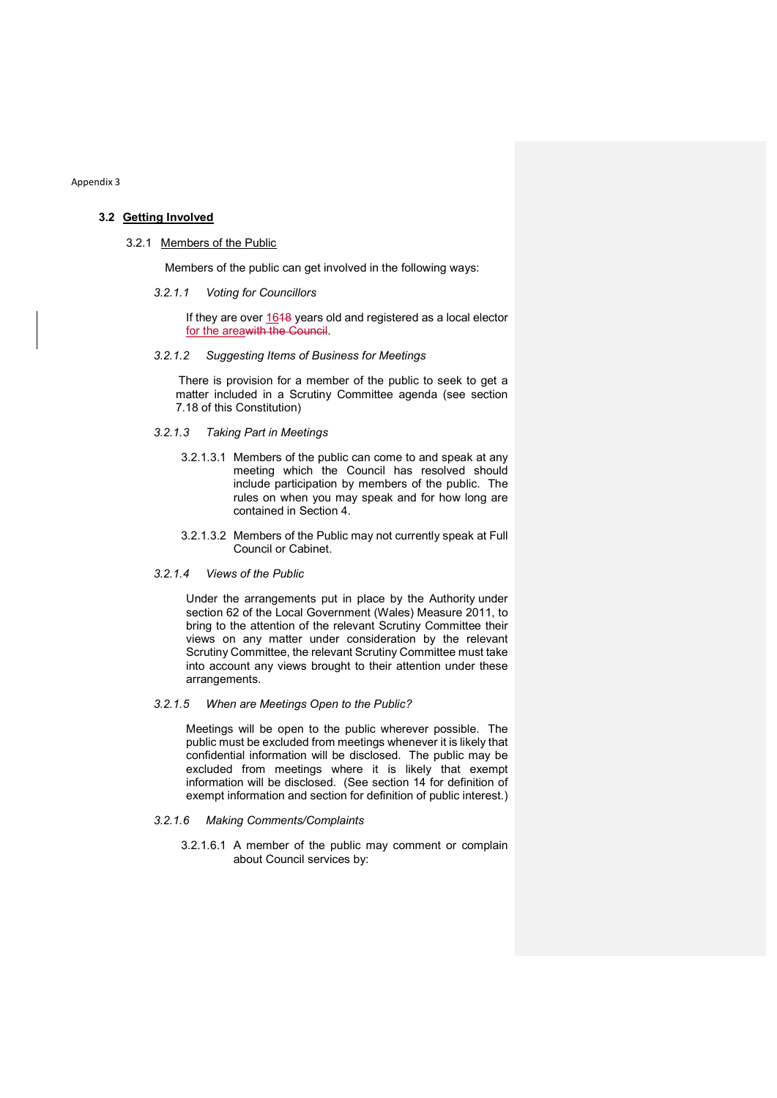Appendix 3

# 3.2 Getting Involved

### 3.2.1 Members of the Public

Members of the public can get involved in the following ways:

3.2.1.1 Voting for Councillors

If they are over 1648 years old and registered as a local elector for the areawith the Council.

### 3.2.1.2 Suggesting Items of Business for Meetings

There is provision for a member of the public to seek to get a matter included in a Scrutiny Committee agenda (see section 7.18 of this Constitution)

## 3.2.1.3 Taking Part in Meetings

- 3.2.1.3.1 Members of the public can come to and speak at any meeting which the Council has resolved should include participation by members of the public. The rules on when you may speak and for how long are contained in Section 4.
- 3.2.1.3.2 Members of the Public may not currently speak at Full Council or Cabinet.
- 3.2.1.4 Views of the Public

Under the arrangements put in place by the Authority under section 62 of the Local Government (Wales) Measure 2011, to bring to the attention of the relevant Scrutiny Committee their views on any matter under consideration by the relevant Scrutiny Committee, the relevant Scrutiny Committee must take into account any views brought to their attention under these arrangements.

3.2.1.5 When are Meetings Open to the Public?

Meetings will be open to the public wherever possible. The public must be excluded from meetings whenever it is likely that confidential information will be disclosed. The public may be excluded from meetings where it is likely that exempt information will be disclosed. (See section 14 for definition of exempt information and section for definition of public interest.)

- 3.2.1.6 Making Comments/Complaints
	- 3.2.1.6.1 A member of the public may comment or complain about Council services by: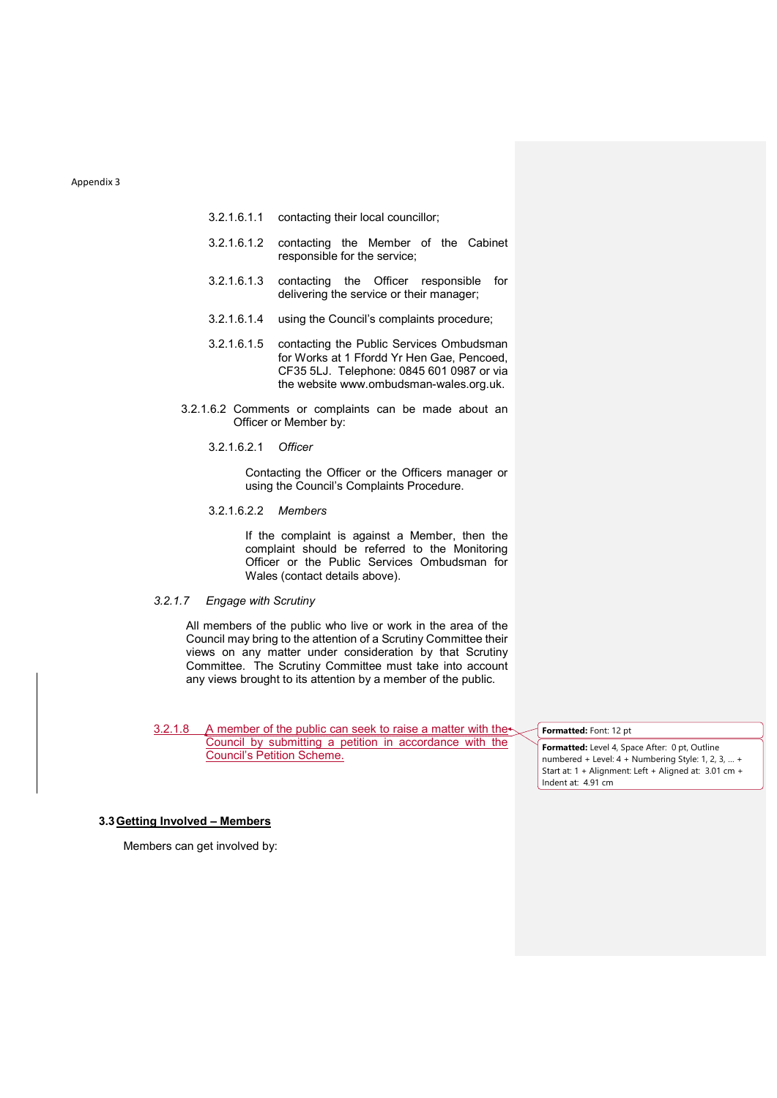#### Appendix 3

- 3.2.1.6.1.1 contacting their local councillor;
- 3.2.1.6.1.2 contacting the Member of the Cabinet responsible for the service;
- 3.2.1.6.1.3 contacting the Officer responsible for delivering the service or their manager;
- 3.2.1.6.1.4 using the Council's complaints procedure;
- 3.2.1.6.1.5 contacting the Public Services Ombudsman for Works at 1 Ffordd Yr Hen Gae, Pencoed, CF35 5LJ. Telephone: 0845 601 0987 or via the website www.ombudsman-wales.org.uk.
- 3.2.1.6.2 Comments or complaints can be made about an Officer or Member by:
	- 3.2.1.6.2.1 Officer

Contacting the Officer or the Officers manager or using the Council's Complaints Procedure.

3.2.1.6.2.2 Members

If the complaint is against a Member, then the complaint should be referred to the Monitoring Officer or the Public Services Ombudsman for Wales (contact details above).

# 3.2.1.7 Engage with Scrutiny

All members of the public who live or work in the area of the Council may bring to the attention of a Scrutiny Committee their views on any matter under consideration by that Scrutiny Committee. The Scrutiny Committee must take into account any views brought to its attention by a member of the public.

3.2.1.8 A member of the public can seek to raise a matter with the Council by submitting a petition in accordance with the Council's Petition Scheme.

Formatted: Font: 12 pt

Formatted: Level 4, Space After: 0 pt, Outline numbered + Level: 4 + Numbering Style: 1, 2, 3, … + Start at: 1 + Alignment: Left + Aligned at: 3.01 cm + Indent at: 4.91 cm

## 3.3 Getting Involved – Members

Members can get involved by: